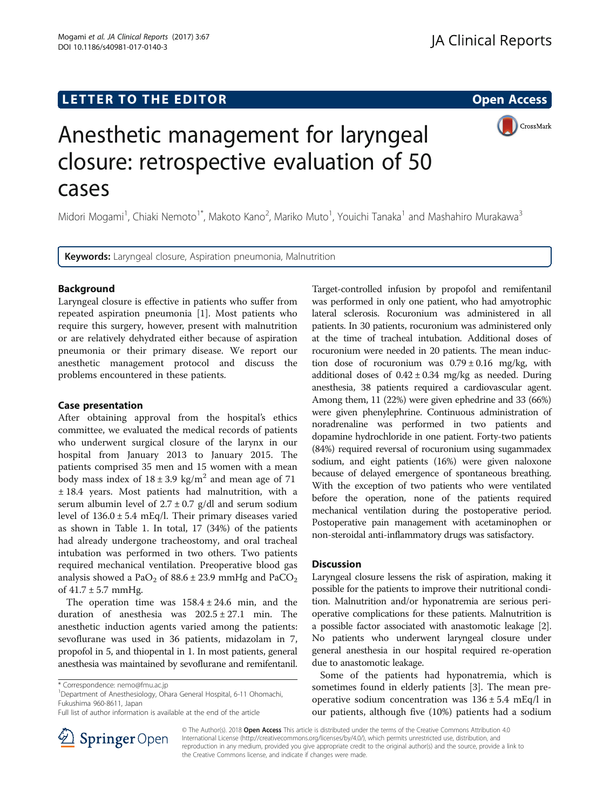## LETTER TO THE EDITOR **CONSIDERING THE EDITOR** CONSIDERING THE STATE AND THE STATE ASSAULT THE STATE AND THE STATE ASSAULT THE STATE AND THE STATE AND THE STATE AND THE STATE AND THE STATE AND THE STATE AND THE STATE AND TH

Mogami et al. JA Clinical Reports (2017) 3:67

DOI 10.1186/s40981-017-0140-3

CrossMark

# Anesthetic management for laryngeal closure: retrospective evaluation of 50 cases

Midori Mogami<sup>1</sup>, Chiaki Nemoto<sup>1\*</sup>, Makoto Kano<sup>2</sup>, Mariko Muto<sup>1</sup>, Youichi Tanaka<sup>1</sup> and Mashahiro Murakawa<sup>3</sup>

Keywords: Laryngeal closure, Aspiration pneumonia, Malnutrition

## Background

Laryngeal closure is effective in patients who suffer from repeated aspiration pneumonia [\[1](#page-1-0)]. Most patients who require this surgery, however, present with malnutrition or are relatively dehydrated either because of aspiration pneumonia or their primary disease. We report our anesthetic management protocol and discuss the problems encountered in these patients.

## Case presentation

After obtaining approval from the hospital's ethics committee, we evaluated the medical records of patients who underwent surgical closure of the larynx in our hospital from January 2013 to January 2015. The patients comprised 35 men and 15 women with a mean body mass index of  $18 \pm 3.9$  kg/m<sup>2</sup> and mean age of 71 ± 18.4 years. Most patients had malnutrition, with a serum albumin level of  $2.7 \pm 0.7$  g/dl and serum sodium level of 136.0 ± 5.4 mEq/l. Their primary diseases varied as shown in Table [1](#page-1-0). In total, 17 (34%) of the patients had already undergone tracheostomy, and oral tracheal intubation was performed in two others. Two patients required mechanical ventilation. Preoperative blood gas analysis showed a  $PaO<sub>2</sub>$  of 88.6  $\pm$  23.9 mmHg and PaCO<sub>2</sub> of  $41.7 \pm 5.7$  mmHg.

The operation time was  $158.4 \pm 24.6$  min, and the duration of anesthesia was  $202.5 \pm 27.1$  min. The anesthetic induction agents varied among the patients: sevoflurane was used in 36 patients, midazolam in 7, propofol in 5, and thiopental in 1. In most patients, general anesthesia was maintained by sevoflurane and remifentanil.

Department of Anesthesiology, Ohara General Hospital, 6-11 Ohomachi, Fukushima 960-8611, Japan



Target-controlled infusion by propofol and remifentanil

## **Discussion**

Laryngeal closure lessens the risk of aspiration, making it possible for the patients to improve their nutritional condition. Malnutrition and/or hyponatremia are serious perioperative complications for these patients. Malnutrition is a possible factor associated with anastomotic leakage [[2](#page-1-0)]. No patients who underwent laryngeal closure under general anesthesia in our hospital required re-operation due to anastomotic leakage.

Some of the patients had hyponatremia, which is sometimes found in elderly patients [[3\]](#page-1-0). The mean preoperative sodium concentration was  $136 \pm 5.4$  mEq/l in our patients, although five (10%) patients had a sodium



© The Author(s). 2018 Open Access This article is distributed under the terms of the Creative Commons Attribution 4.0 International License ([http://creativecommons.org/licenses/by/4.0/\)](http://creativecommons.org/licenses/by/4.0/), which permits unrestricted use, distribution, and reproduction in any medium, provided you give appropriate credit to the original author(s) and the source, provide a link to the Creative Commons license, and indicate if changes were made.

<sup>\*</sup> Correspondence: [nemo@fmu.ac.jp](mailto:nemo@fmu.ac.jp) <sup>1</sup>

Full list of author information is available at the end of the article